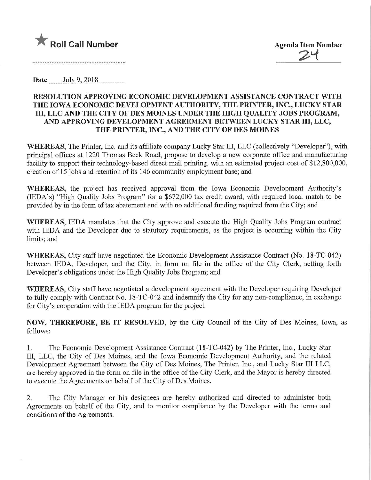

Date July 9, 2018

## RESOLUTION APPROVING ECONOMIC DEVELOPMENT ASSISTANCE CONTRACT WITH THE IOWA ECONOMIC DEVELOPMENT AUTHORITY, THE PRINTER, INC., LUCKY STAR Ill, LLC AND THE CITY OF DES MOINES UNDER THE HIGH QUALITY JOBS PROGRAM, AND APPROVING DEVELOPMENT AGREEMENT BETWEEN LUCKY STAR III, LLC, THE PRINTER, INC., AND THE CITY OF DES MOINES

WHEREAS, The Printer, Inc. and its affiliate company Lucky Star III, LLC (collectively "Developer"), with principal offices at 1220 Thomas Beck Road, propose to develop a new corporate office and manufacturing facility to support their technology-based direct mail printing, with an estimated project cost of \$12,800,000, creation of 15 jobs and retention of its 146 community employment base; and

WHEREAS, the project has received approval from the Iowa Economic Development Authority's (lEDA's) "High Quality Jobs Program" for a \$672,000 tax credit award, with required local match to be provided by in the form of tax abatement and with no additional funding required from the City; and

WHEREAS, IEDA mandates that the City approve and execute the High Quality Jobs Program contract with IEDA and the Developer due to statutory requirements, as the project is occurring within the City limits; and

WHEREAS, City staff have negotiated the Economic Development Assistance Contract (No. 18-TC-042) between IEDA, Developer, and the City, in form on file in the office of the City Clerk, setting forth Developer's obligations under the High Quality Jobs Program; and

WHEREAS, City staff have negotiated a development agreement with the Developer requiring Developer to fully comply with Contract No. 18-TC-042 and indemnify the City for any non-compliance, in exchange for City's cooperation with the IEDA program for the project.

NOW, THEREFORE, BE IT RESOLVED, by the City Council of the City of Des Moines, Iowa, as follows:

1. The Economic Development Assistance Contract (18-TC-042) by The Printer, Inc., Lucky Star Ill, LLC, the City of Des Moines, and the Iowa Economic Development Authority, and the related Development Agreement between the City of Des Moines, The Printer, Inc., and Lucky Star III LLC, are hereby approved in the form on file in the office of the City Clerk, and the Mayor is hereby directed to execute the Agreements on behalf of the City of Des Moines.

2. The City Manager or his designees are hereby authorized and directed to administer both Agreements on behalf of the City, and to monitor compliance by the Developer with the terms and conditions of the Agreements.